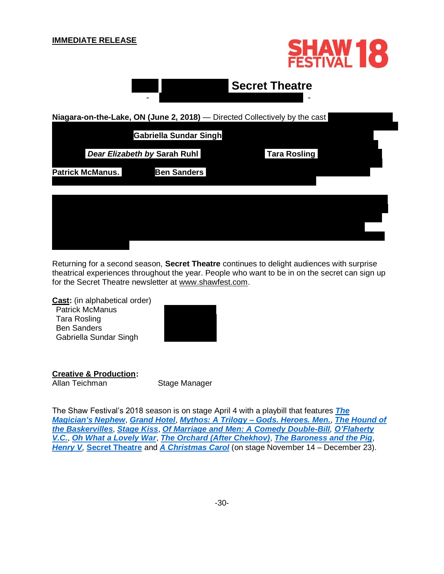## **IMMEDIATE RELEASE**





Returning for a second season, **Secret Theatre** continues to delight audiences with surprise theatrical experiences throughout the year. People who want to be in on the secret can sign up for the Secret Theatre newsletter at [www.shawfest.com.](http://www.shawfest.com/)

**Cast:** (in alphabetical order) Patrick McManus Tara Rosling Ben Sanders Gabriella Sundar Singh

**Creative & Production:** Allan Teichman Stage Manager

The Shaw Festival's 2018 season is on stage April 4 with a playbill that features *[The](https://www.shawfest.com/playbill/the-magicians-nephew/)  [Magician's Nephew](https://www.shawfest.com/playbill/the-magicians-nephew/)*, *[Grand Hotel](https://www.shawfest.com/playbill/grand-hotel/)*, *Mythos: A Trilogy – [Gods. Heroes. Men.](https://www.shawfest.com/playbill/mythos-trilogy-gods-heroes-men/)*, *[The Hound of](https://www.shawfest.com/playbill/the-hound-of-the-baskervilles/)  [the Baskervilles](https://www.shawfest.com/playbill/the-hound-of-the-baskervilles/)*, *[Stage Kiss](https://www.shawfest.com/playbill/stage-kiss/)*, *[Of Marriage and Men: A Comedy Double-Bill](https://www.shawfest.com/playbill/of-marriage-men/), [O'Flaherty](https://www.shawfest.com/playbill/oflaherty-v-c/)  [V.C.](https://www.shawfest.com/playbill/oflaherty-v-c/)*, *[Oh What a Lovely War](https://www.shawfest.com/playbill/oh-lovely-war/)*, *[The Orchard \(After Chekhov\)](https://www.shawfest.com/playbill/the-orchard-after-chekhov/)*, *[The Baroness and the Pig](https://www.shawfest.com/playbill/the-baroness-and-the-pig/)*, *[Henry V](https://www.shawfest.com/playbill/henry-v/),* **[Secret Theatre](http://www.shawfest.com/secret-theatre/)** and *[A Christmas Carol](https://www.shawfest.com/playbill/christmas-carol-2018/)* (on stage November 14 – December 23).